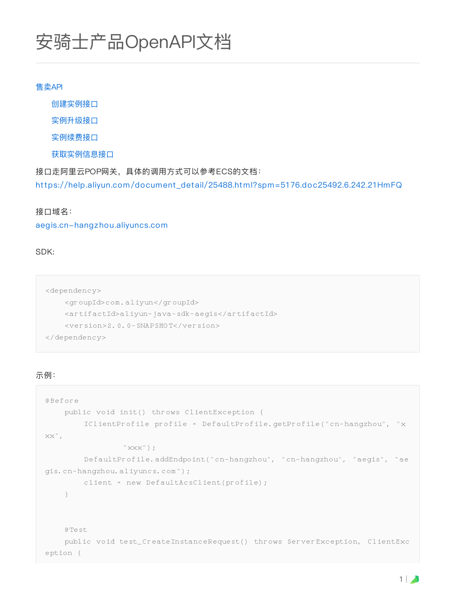# 安骑士产品OpenAPI文档

#### 售卖API

创建实例接⼝

实例升级接口

实例续费接口

获取实例信息接口

接口走阿里云POP网关, 具体的调用方式可以参考ECS的文档: [https://help.aliyun.com/document\\_detail/25488.html?spm=5176.doc25492.6.242.21HmFQ](https://help.aliyun.com/document_detail/25488.html?spm=5176.doc25492.6.242.21HmFQ)

#### 接口域名:

#### [aegis.cn-hangzhou.aliyuncs.com](http://aegis.cn-hangzhou.aliyuncs.com/)

SDK:

```
<dependency>
    <groupId>com.aliyun</groupId>
    <artifactId>aliyun-java-sdk-aegis</artifactId>
    <version>2.0.0-SNAPSHOT</version>
</dependency>
```
#### 示例:

```
@Before
    public void init() throws ClientException {
        IClientProfile profile = DefaultProfile.getProfile("cn-hangzhou", "x
xx",
                 "xxx") ;
        DefaultProfile.addEndpoint("cn-hangzhou", "cn-hangzhou", "aegis", "ae
gis.cn-hangzhou.aliyuncs.com");
        client = new DefaultAcsClient(profile);
    }
    @Test
    public void test_CreateInstanceRequest() throws ServerException, ClientExc
eption {
```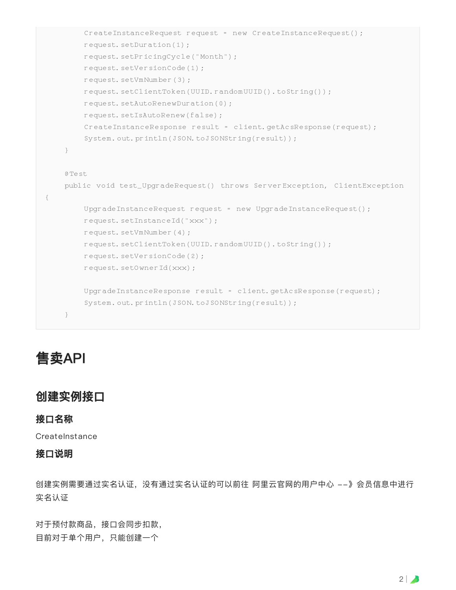```
CreateInstanceRequest request = new CreateInstanceRequest();
        request.setDuration(1);
        request.setPricingCycle("Month");
        request.setVersionCode(1);
        request.setVmNumber(3);
        request.setClientToken(UUID.randomUUID().toString());
        request.setAutoRenewDuration(0);
        request.setIsAutoRenew(false);
        CreateInstanceResponse result = client.getAcsResponse(request);
        System.out.println(JSON.toJSONString(result));
    }
    @Test
   public void test_UpgradeRequest() throws ServerException, ClientException
{
        UpgradeInstanceRequest request = new UpgradeInstanceRequest();
        request.setInstanceId("xxx");
        request.setVmNumber(4);
        request.setClientToken(UUID.randomUUID().toString());
        request.setVersionCode(2);
        request.setOwnerId(xxx);
        UpgradeInstanceResponse result = client.getAcsResponse(request);
        System.out.println(JSON.toJSONString(result));
    }
```
# 售卖API

# 创建实例接⼝

#### 接口名称

**CreateInstance** 

#### 接口说明

创建实例需要通过实名认证实名认证的可以前往 阿里云官网的用户中心 --》会员信息中进行 实名认证

对于预付款商品,接口会同步扣款, 目前对于单个用户,只能创建一个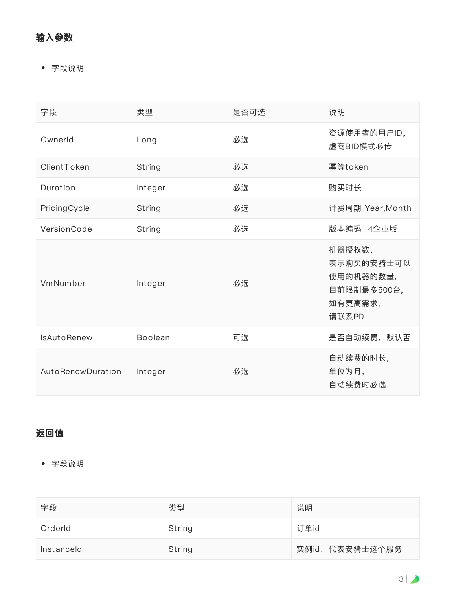#### 输⼊参数

字段说明

| 字段                 | 类型             | 是否可选 | 说明                                                                   |
|--------------------|----------------|------|----------------------------------------------------------------------|
| Ownerld            | Long           | 必选   | 资源使用者的用户ID,<br>虚商BID模式必传                                             |
| ClientToken        | String         | 必选   | 幂等token                                                              |
| Duration           | Integer        | 必选   | 购买时长                                                                 |
| PricingCycle       | String         | 必选   | 计费周期 Year, Month                                                     |
| VersionCode        | String         | 必选   | 版本编码 4企业版                                                            |
| VmNumber           | Integer        | 必选   | 机器授权数,<br>表示购买的安骑士可以<br>使用的机器的数量,<br>目前限制最多500台,<br>如有更高需求,<br>请联系PD |
| <b>IsAutoRenew</b> | <b>Boolean</b> | 可选   | 是否自动续费,默认否                                                           |
| AutoRenewDuration  | Integer        | 必选   | 自动续费的时长,<br>单位为月,<br>自动续费时必选                                         |

# 返回值

字段说明

| 字段         | 类型     | 说明              |
|------------|--------|-----------------|
| Orderld    | String | 订单id            |
| Instanceld | String | 实例id, 代表安骑士这个服务 |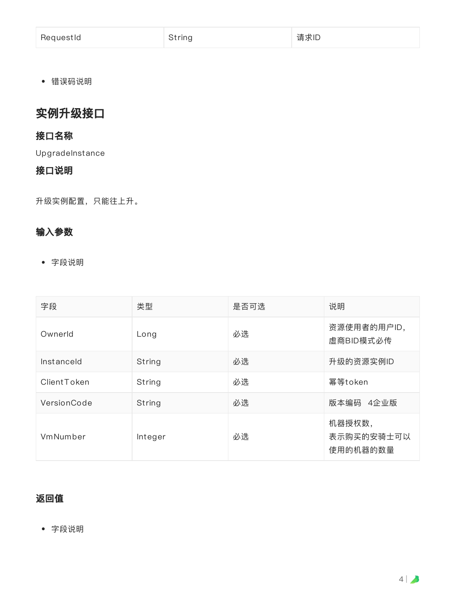| RequestId | String | 请求ID |
|-----------|--------|------|
|-----------|--------|------|

错误码说明

# 实例升级接口

## 接口名称

UpgradeInstance

#### 接口说明

升级实例配置,只能往上升。

## 输⼊参数

字段说明

| 字段          | 类型      | 是否可选 | 说明                               |
|-------------|---------|------|----------------------------------|
| Ownerld     | Long    | 必选   | 资源使用者的用户ID,<br>虚商BID模式必传         |
| Instanceld  | String  | 必选   | 升级的资源实例ID                        |
| ClientToken | String  | 必选   | 幂等token                          |
| VersionCode | String  | 必选   | 4企业版<br>版本编码                     |
| VmNumber    | Integer | 必选   | 机器授权数,<br>表示购买的安骑士可以<br>使用的机器的数量 |

## 返回值

字段说明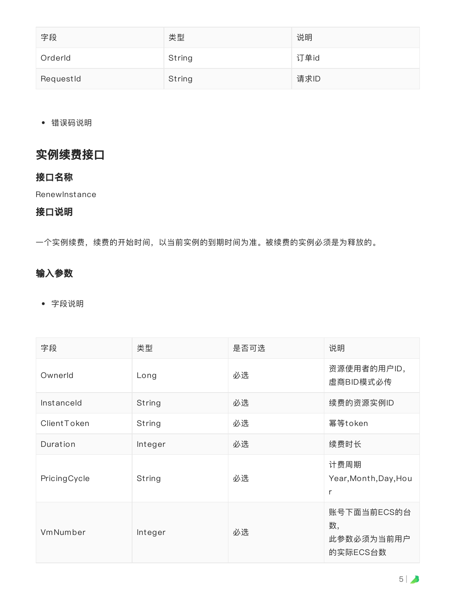| 字段        | 类型     | 说明   |
|-----------|--------|------|
| Orderld   | String | 订单id |
| RequestId | String | 请求ID |

错误码说明

# 实例续费接口

#### 接口名称

**RenewInstance** 

## 接口说明

⼀个实例续费,续费的开始时间,以当前实例的到期时间为准。被续费的实例必须是为释放的。

## 输⼊参数

字段说明

| 字段           | 类型      | 是否可选 | 说明                                          |
|--------------|---------|------|---------------------------------------------|
| Ownerld      | Long    | 必选   | 资源使用者的用户ID,<br>虚商BID模式必传                    |
| Instanceld   | String  | 必选   | 续费的资源实例ID                                   |
| ClientToken  | String  | 必选   | 幂等token                                     |
| Duration     | Integer | 必选   | 续费时长                                        |
| PricingCycle | String  | 必选   | 计费周期<br>Year, Month, Day, Hou<br>r          |
| VmNumber     | Integer | 必选   | 账号下面当前ECS的台<br>数,<br>此参数必须为当前用户<br>的实际ECS台数 |

5 |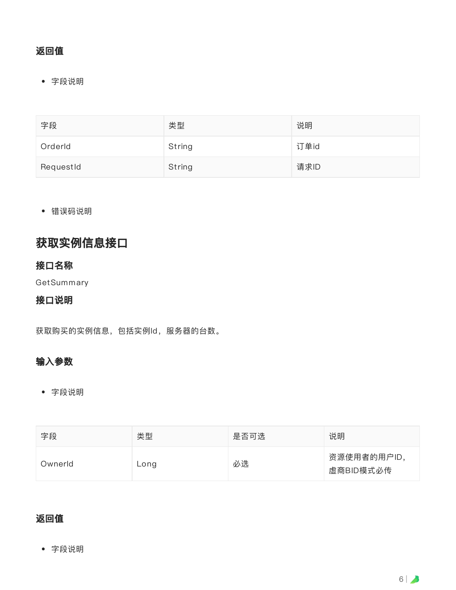## 返回值

字段说明

| 字段        | 类型     | 说明   |
|-----------|--------|------|
| Orderld   | String | 订单id |
| RequestId | String | 请求ID |

错误码说明

# 获取实例信息接口

#### 接口名称

**GetSummary** 

#### 接口说明

获取购买的实例信息,包括实例Id,服务器的台数。

#### 输⼊参数

字段说明

| 字段      | 类型   | 是否可选 | 说明                       |
|---------|------|------|--------------------------|
| Ownerld | Long | 必选   | 资源使用者的用户ID,<br>虚商BID模式必传 |

## 返回值

字段说明